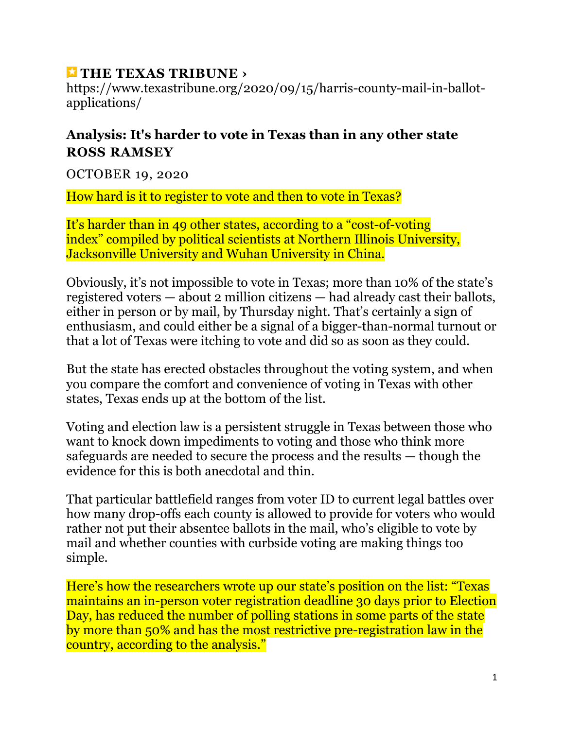## **[THE TEXAS TRIBUNE ›](https://www.texastribune.org/2020/10/19/texas-voting-elections/)**

https://www.texastribune.org/2020/09/15/harris-county-mail-in-ballotapplications/

## **Analysis: It's harder to vote in Texas than in any other state ROSS RAMSEY**

OCTOBER 19, 2020

How hard is it to register to vote and then to vote in Texas?

It's harder than in 49 other states, according to a "cost[-of-voting](https://newsroom.niu.edu/2020/10/13/how-hard-is-it-to-vote-in-your-state/)  [index"](https://newsroom.niu.edu/2020/10/13/how-hard-is-it-to-vote-in-your-state/) compiled by political scientists at Northern Illinois University, Jacksonville University and Wuhan University in China.

Obviously, it's not impossible to vote in Texas; [more than 10% of the state's](https://apps.texastribune.org/features/2020/texas-early-voting-numbers/?_ga=2.73630930.1561775201.1602866184-775993412.1580945206)  [registered voters](https://apps.texastribune.org/features/2020/texas-early-voting-numbers/?_ga=2.73630930.1561775201.1602866184-775993412.1580945206) — about 2 million citizens — had already cast their ballots, either in person or by mail, by Thursday night. That's certainly a sign of enthusiasm, and could either be a signal of a bigger-than-normal turnout or that a lot of Texas were itching to vote and did so as soon as they could.

But the state has erected obstacles throughout the voting system, and when you compare the comfort and convenience of voting in Texas with other states, Texas ends up at the bottom of the list.

Voting and election law is a persistent struggle in Texas between those who want to knock down impediments to voting and those who think more safeguards are needed to secure the process and the results — though the evidence for this is [both anecdotal and thin.](https://www.brennancenter.org/sites/default/files/analysis/Briefing_Memo_Debunking_Voter_Fraud_Myth.pdf)

That particular battlefield ranges from voter ID to current legal battles over how many drop-offs each county is allowed to provide for voters who would rather not put their absentee ballots in the mail, who's eligible to vote by mail and whether counties with curbside voting are making things too simple.

Here's how the researchers wrote up our state's position on the list: "Texas maintains an in-person voter registration deadline 30 days prior to Election Day, has reduced the number of polling stations in some parts of the state by more than 50% and has the most restrictive pre-registration law in the country, according to the analysis."